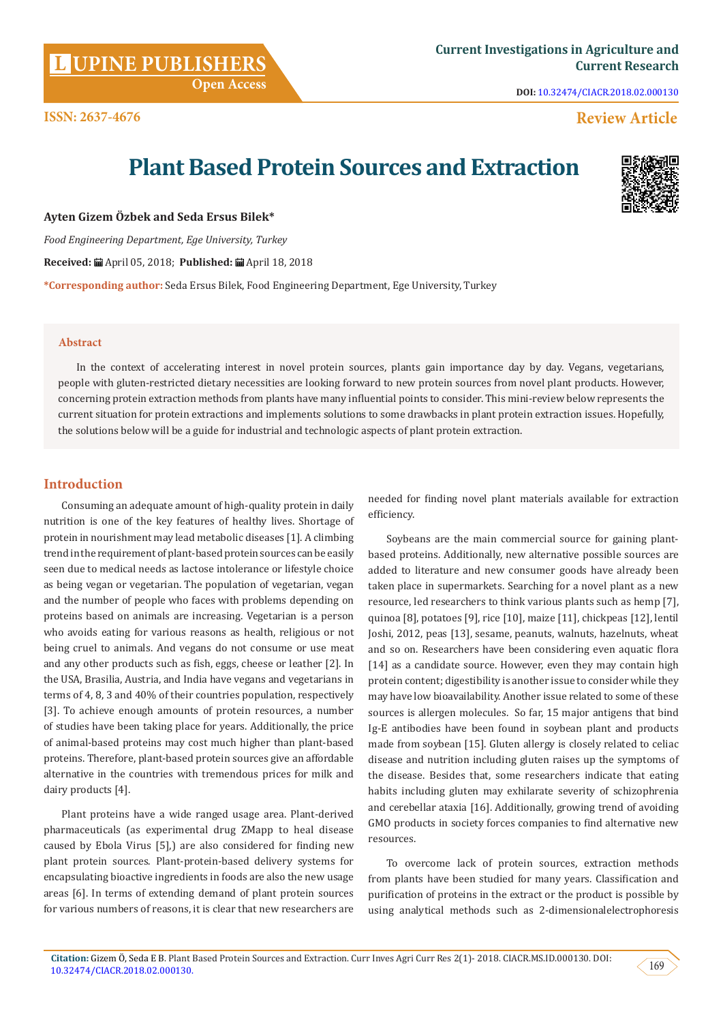# **UPINE PUBLISHERS**

**DOI:** [10.32474/CIACR.2018.02.000130](http://dx.doi.org/10.32474/CIACR.2018.02.000130)

# **Review Article**

# **Plant Based Protein Sources and Extraction**

**Ayten Gizem Özbek and Seda Ersus Bilek\***

*Food Engineering Department, Ege University, Turkey*

**Received:** April 05, 2018; **Published:** April 18, 2018

**\*Corresponding author:** Seda Ersus Bilek, Food Engineering Department, Ege University, Turkey

### **Abstract**

In the context of accelerating interest in novel protein sources, plants gain importance day by day. Vegans, vegetarians, people with gluten-restricted dietary necessities are looking forward to new protein sources from novel plant products. However, concerning protein extraction methods from plants have many influential points to consider. This mini-review below represents the current situation for protein extractions and implements solutions to some drawbacks in plant protein extraction issues. Hopefully, the solutions below will be a guide for industrial and technologic aspects of plant protein extraction.

# **Introduction**

Consuming an adequate amount of high-quality protein in daily nutrition is one of the key features of healthy lives. Shortage of protein in nourishment may lead metabolic diseases [1]. A climbing trend in the requirement of plant-based protein sources can be easily seen due to medical needs as lactose intolerance or lifestyle choice as being vegan or vegetarian. The population of vegetarian, vegan and the number of people who faces with problems depending on proteins based on animals are increasing. Vegetarian is a person who avoids eating for various reasons as health, religious or not being cruel to animals. And vegans do not consume or use meat and any other products such as fish, eggs, cheese or leather [2]. In the USA, Brasilia, Austria, and India have vegans and vegetarians in terms of 4, 8, 3 and 40% of their countries population, respectively [3]. To achieve enough amounts of protein resources, a number of studies have been taking place for years. Additionally, the price of animal-based proteins may cost much higher than plant-based proteins. Therefore, plant-based protein sources give an affordable alternative in the countries with tremendous prices for milk and dairy products [4].

Plant proteins have a wide ranged usage area. Plant-derived pharmaceuticals (as experimental drug ZMapp to heal disease caused by Ebola Virus [5],) are also considered for finding new plant protein sources. Plant-protein-based delivery systems for encapsulating bioactive ingredients in foods are also the new usage areas [6]. In terms of extending demand of plant protein sources for various numbers of reasons, it is clear that new researchers are

needed for finding novel plant materials available for extraction efficiency.

Soybeans are the main commercial source for gaining plantbased proteins. Additionally, new alternative possible sources are added to literature and new consumer goods have already been taken place in supermarkets. Searching for a novel plant as a new resource, led researchers to think various plants such as hemp [7], quinoa [8], potatoes [9], rice [10], maize [11], chickpeas [12], lentil Joshi, 2012, peas [13], sesame, peanuts, walnuts, hazelnuts, wheat and so on. Researchers have been considering even aquatic flora [14] as a candidate source. However, even they may contain high protein content; digestibility is another issue to consider while they may have low bioavailability. Another issue related to some of these sources is allergen molecules. So far, 15 major antigens that bind Ig-E antibodies have been found in soybean plant and products made from soybean [15]. Gluten allergy is closely related to celiac disease and nutrition including gluten raises up the symptoms of the disease. Besides that, some researchers indicate that eating habits including gluten may exhilarate severity of schizophrenia and cerebellar ataxia [16]. Additionally, growing trend of avoiding GMO products in society forces companies to find alternative new resources.

To overcome lack of protein sources, extraction methods from plants have been studied for many years. Classification and purification of proteins in the extract or the product is possible by using analytical methods such as 2-dimensionalelectrophoresis



 **Open Access**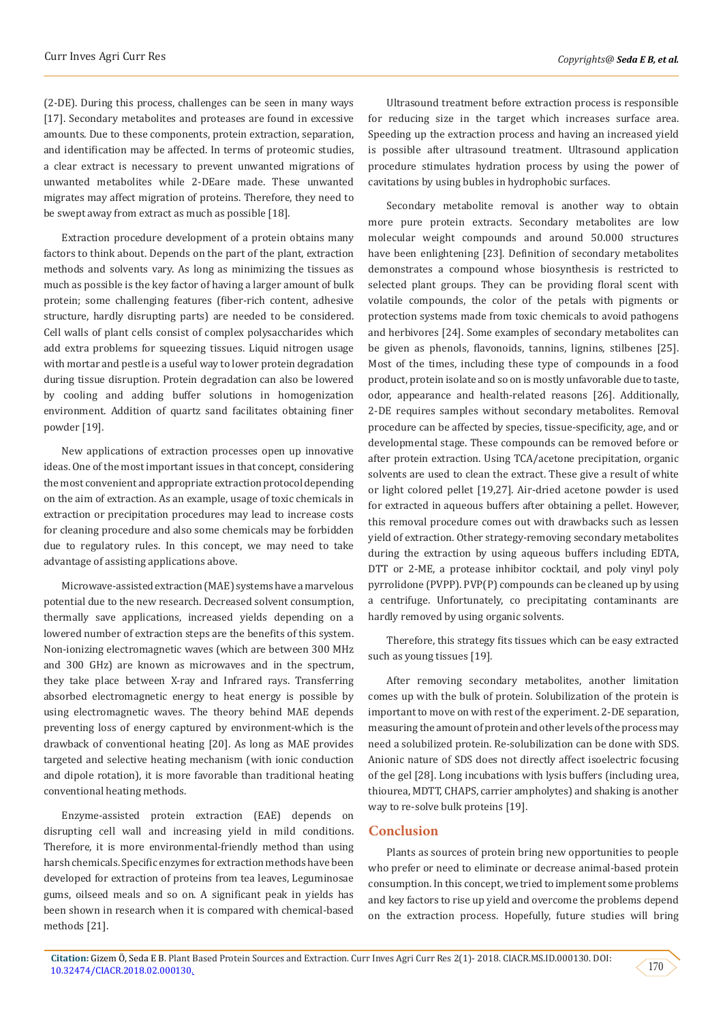(2-DE). During this process, challenges can be seen in many ways [17]. Secondary metabolites and proteases are found in excessive amounts. Due to these components, protein extraction, separation, and identification may be affected. In terms of proteomic studies, a clear extract is necessary to prevent unwanted migrations of unwanted metabolites while 2-DEare made. These unwanted migrates may affect migration of proteins. Therefore, they need to be swept away from extract as much as possible [18].

Extraction procedure development of a protein obtains many factors to think about. Depends on the part of the plant, extraction methods and solvents vary. As long as minimizing the tissues as much as possible is the key factor of having a larger amount of bulk protein; some challenging features (fiber-rich content, adhesive structure, hardly disrupting parts) are needed to be considered. Cell walls of plant cells consist of complex polysaccharides which add extra problems for squeezing tissues. Liquid nitrogen usage with mortar and pestle is a useful way to lower protein degradation during tissue disruption. Protein degradation can also be lowered by cooling and adding buffer solutions in homogenization environment. Addition of quartz sand facilitates obtaining finer powder [19].

New applications of extraction processes open up innovative ideas. One of the most important issues in that concept, considering the most convenient and appropriate extraction protocol depending on the aim of extraction. As an example, usage of toxic chemicals in extraction or precipitation procedures may lead to increase costs for cleaning procedure and also some chemicals may be forbidden due to regulatory rules. In this concept, we may need to take advantage of assisting applications above.

Microwave-assisted extraction (MAE) systems have a marvelous potential due to the new research. Decreased solvent consumption, thermally save applications, increased yields depending on a lowered number of extraction steps are the benefits of this system. Non-ionizing electromagnetic waves (which are between 300 MHz and 300 GHz) are known as microwaves and in the spectrum, they take place between X-ray and Infrared rays. Transferring absorbed electromagnetic energy to heat energy is possible by using electromagnetic waves. The theory behind MAE depends preventing loss of energy captured by environment-which is the drawback of conventional heating [20]. As long as MAE provides targeted and selective heating mechanism (with ionic conduction and dipole rotation), it is more favorable than traditional heating conventional heating methods.

Enzyme-assisted protein extraction (EAE) depends on disrupting cell wall and increasing yield in mild conditions. Therefore, it is more environmental-friendly method than using harsh chemicals. Specific enzymes for extraction methods have been developed for extraction of proteins from tea leaves, Leguminosae gums, oilseed meals and so on. A significant peak in yields has been shown in research when it is compared with chemical-based methods [21].

Ultrasound treatment before extraction process is responsible for reducing size in the target which increases surface area. Speeding up the extraction process and having an increased yield is possible after ultrasound treatment. Ultrasound application procedure stimulates hydration process by using the power of cavitations by using bubles in hydrophobic surfaces.

Secondary metabolite removal is another way to obtain more pure protein extracts. Secondary metabolites are low molecular weight compounds and around 50.000 structures have been enlightening [23]. Definition of secondary metabolites demonstrates a compound whose biosynthesis is restricted to selected plant groups. They can be providing floral scent with volatile compounds, the color of the petals with pigments or protection systems made from toxic chemicals to avoid pathogens and herbivores [24]. Some examples of secondary metabolites can be given as phenols, flavonoids, tannins, lignins, stilbenes [25]. Most of the times, including these type of compounds in a food product, protein isolate and so on is mostly unfavorable due to taste, odor, appearance and health-related reasons [26]. Additionally, 2-DE requires samples without secondary metabolites. Removal procedure can be affected by species, tissue-specificity, age, and or developmental stage. These compounds can be removed before or after protein extraction. Using TCA/acetone precipitation, organic solvents are used to clean the extract. These give a result of white or light colored pellet [19,27]. Air-dried acetone powder is used for extracted in aqueous buffers after obtaining a pellet. However, this removal procedure comes out with drawbacks such as lessen yield of extraction. Other strategy-removing secondary metabolites during the extraction by using aqueous buffers including EDTA, DTT or 2-ME, a protease inhibitor cocktail, and poly vinyl poly pyrrolidone (PVPP). PVP(P) compounds can be cleaned up by using a centrifuge. Unfortunately, co precipitating contaminants are hardly removed by using organic solvents.

Therefore, this strategy fits tissues which can be easy extracted such as young tissues [19].

After removing secondary metabolites, another limitation comes up with the bulk of protein. Solubilization of the protein is important to move on with rest of the experiment. 2-DE separation, measuring the amount of protein and other levels of the process may need a solubilized protein. Re-solubilization can be done with SDS. Anionic nature of SDS does not directly affect isoelectric focusing of the gel [28]. Long incubations with lysis buffers (including urea, thiourea, MDTT, CHAPS, carrier ampholytes) and shaking is another way to re-solve bulk proteins [19].

# **Conclusion**

Plants as sources of protein bring new opportunities to people who prefer or need to eliminate or decrease animal-based protein consumption. In this concept, we tried to implement some problems and key factors to rise up yield and overcome the problems depend on the extraction process. Hopefully, future studies will bring